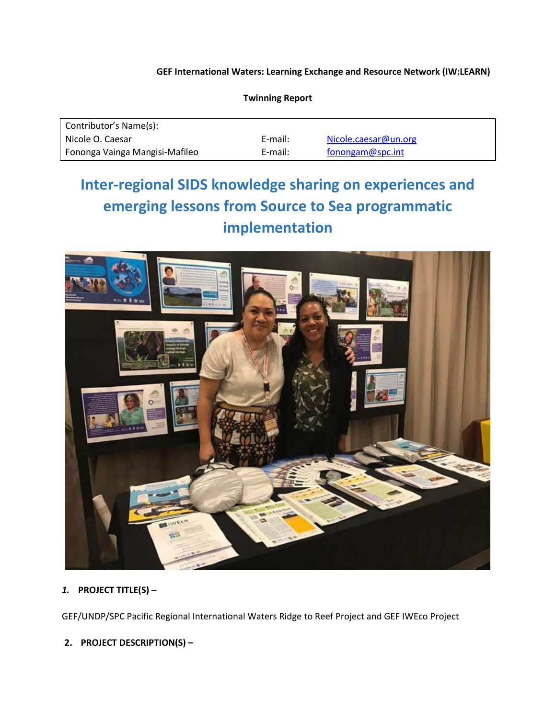### **GEF International Waters: Learning Exchange and Resource Network (IW:LEARN)**

| Contributor's Name(s):         |         |                      |
|--------------------------------|---------|----------------------|
| Nicole O. Caesar               | E-mail: | Nicole.caesar@un.org |
| Fononga Vainga Mangisi-Mafileo | E-mail: | fonongam@spc.int     |

#### **Twinning Report**

# **Inter-regional SIDS knowledge sharing on experiences and emerging lessons from Source to Sea programmatic implementation**



# *1.* **PROJECT TITLE(S) –**

GEF/UNDP/SPC Pacific Regional International Waters Ridge to Reef Project and GEF IWEco Project

# **2. PROJECT DESCRIPTION(S) –**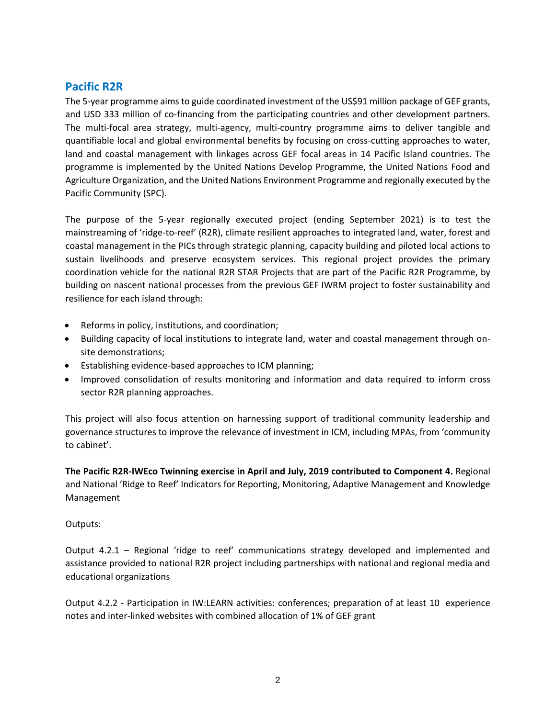# **Pacific R2R**

The 5-year programme aims to guide coordinated investment of the US\$91 million package of GEF grants, and USD 333 million of co-financing from the participating countries and other development partners. The multi-focal area strategy, multi-agency, multi-country programme aims to deliver tangible and quantifiable local and global environmental benefits by focusing on cross-cutting approaches to water, land and coastal management with linkages across GEF focal areas in 14 Pacific Island countries. The programme is implemented by the United Nations Develop Programme, the United Nations Food and Agriculture Organization, and the United Nations Environment Programme and regionally executed by the Pacific Community (SPC).

The purpose of the 5-year regionally executed project (ending September 2021) is to test the mainstreaming of 'ridge-to-reef' (R2R), climate resilient approaches to integrated land, water, forest and coastal management in the PICs through strategic planning, capacity building and piloted local actions to sustain livelihoods and preserve ecosystem services. This regional project provides the primary coordination vehicle for the national R2R STAR Projects that are part of the Pacific R2R Programme, by building on nascent national processes from the previous GEF IWRM project to foster sustainability and resilience for each island through:

- Reforms in policy, institutions, and coordination;
- Building capacity of local institutions to integrate land, water and coastal management through onsite demonstrations;
- Establishing evidence-based approaches to ICM planning;
- Improved consolidation of results monitoring and information and data required to inform cross sector R2R planning approaches.

This project will also focus attention on harnessing support of traditional community leadership and governance structures to improve the relevance of investment in ICM, including MPAs, from 'community to cabinet'.

**The Pacific R2R-IWEco Twinning exercise in April and July, 2019 contributed to Component 4.** Regional and National 'Ridge to Reef' Indicators for Reporting, Monitoring, Adaptive Management and Knowledge Management

#### Outputs:

Output 4.2.1 – Regional 'ridge to reef' communications strategy developed and implemented and assistance provided to national R2R project including partnerships with national and regional media and educational organizations

Output 4.2.2 - Participation in IW:LEARN activities: conferences; preparation of at least 10 experience notes and inter-linked websites with combined allocation of 1% of GEF grant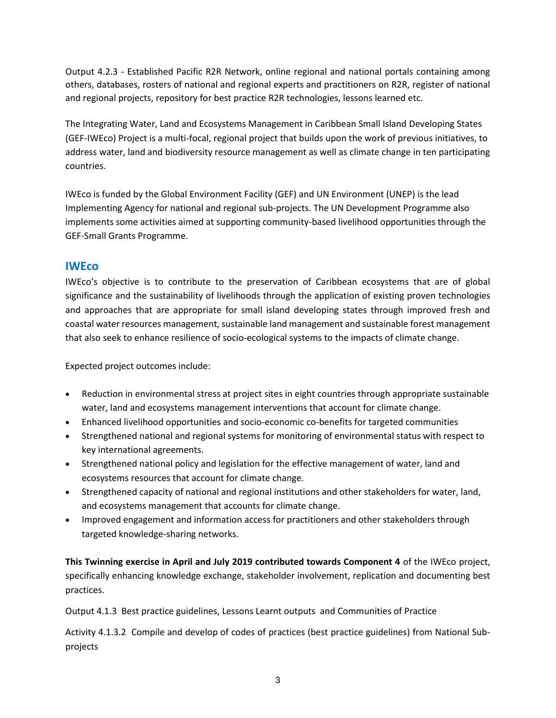Output 4.2.3 - Established Pacific R2R Network, online regional and national portals containing among others, databases, rosters of national and regional experts and practitioners on R2R, register of national and regional projects, repository for best practice R2R technologies, lessons learned etc.

The Integrating Water, Land and Ecosystems Management in Caribbean Small Island Developing States (GEF-IWEco) Project is a multi-focal, regional project that builds upon the work of previous initiatives, to address water, land and biodiversity resource management as well as climate change in ten participating countries.

IWEco is funded by the Global Environment Facility (GEF) and UN Environment (UNEP) is the lead Implementing Agency for national and regional sub-projects. The UN Development Programme also implements some activities aimed at supporting community-based livelihood opportunities through the GEF-Small Grants Programme.

# **IWEco**

IWEco's objective is to contribute to the preservation of Caribbean ecosystems that are of global significance and the sustainability of livelihoods through the application of existing proven technologies and approaches that are appropriate for small island developing states through improved fresh and coastal water resources management, sustainable land management and sustainable forest management that also seek to enhance resilience of socio-ecological systems to the impacts of climate change.

Expected project outcomes include:

- Reduction in environmental stress at project sites in eight countries through appropriate sustainable water, land and ecosystems management interventions that account for climate change.
- Enhanced livelihood opportunities and socio-economic co-benefits for targeted communities
- Strengthened national and regional systems for monitoring of environmental status with respect to key international agreements.
- Strengthened national policy and legislation for the effective management of water, land and ecosystems resources that account for climate change.
- Strengthened capacity of national and regional institutions and other stakeholders for water, land, and ecosystems management that accounts for climate change.
- Improved engagement and information access for practitioners and other stakeholders through targeted knowledge-sharing networks.

**This Twinning exercise in April and July 2019 contributed towards Component 4** of the IWEco project, specifically enhancing knowledge exchange, stakeholder involvement, replication and documenting best practices.

Output 4.1.3 Best practice guidelines, Lessons Learnt outputs and Communities of Practice

Activity 4.1.3.2 Compile and develop of codes of practices (best practice guidelines) from National Subprojects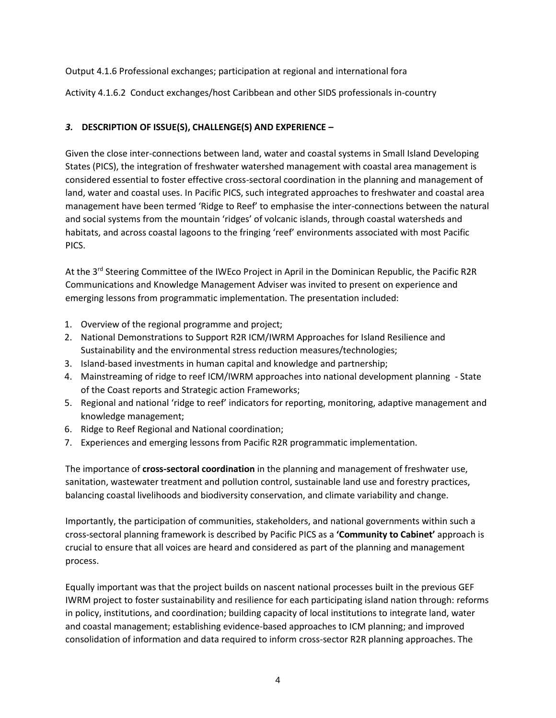## Output 4.1.6 Professional exchanges; participation at regional and international fora

Activity 4.1.6.2 Conduct exchanges/host Caribbean and other SIDS professionals in-country

## *3.* **DESCRIPTION OF ISSUE(S), CHALLENGE(S) AND EXPERIENCE –**

Given the close inter-connections between land, water and coastal systems in Small Island Developing States (PICS), the integration of freshwater watershed management with coastal area management is considered essential to foster effective cross-sectoral coordination in the planning and management of land, water and coastal uses. In Pacific PICS, such integrated approaches to freshwater and coastal area management have been termed 'Ridge to Reef' to emphasise the inter-connections between the natural and social systems from the mountain 'ridges' of volcanic islands, through coastal watersheds and habitats, and across coastal lagoons to the fringing 'reef' environments associated with most Pacific PICS.

At the 3<sup>rd</sup> Steering Committee of the IWEco Project in April in the Dominican Republic, the Pacific R2R Communications and Knowledge Management Adviser was invited to present on experience and emerging lessons from programmatic implementation. The presentation included:

- 1. Overview of the regional programme and project;
- 2. National Demonstrations to Support R2R ICM/IWRM Approaches for Island Resilience and Sustainability and the environmental stress reduction measures/technologies;
- 3. Island-based investments in human capital and knowledge and partnership;
- 4. Mainstreaming of ridge to reef ICM/IWRM approaches into national development planning State of the Coast reports and Strategic action Frameworks;
- 5. Regional and national 'ridge to reef' indicators for reporting, monitoring, adaptive management and knowledge management;
- 6. Ridge to Reef Regional and National coordination;
- 7. Experiences and emerging lessons from Pacific R2R programmatic implementation.

The importance of **cross-sectoral coordination** in the planning and management of freshwater use, sanitation, wastewater treatment and pollution control, sustainable land use and forestry practices, balancing coastal livelihoods and biodiversity conservation, and climate variability and change.

Importantly, the participation of communities, stakeholders, and national governments within such a cross-sectoral planning framework is described by Pacific PICS as a **'Community to Cabinet'** approach is crucial to ensure that all voices are heard and considered as part of the planning and management process.

Equally important was that the project builds on nascent national processes built in the previous GEF IWRM project to foster sustainability and resilience for each participating island nation through: reforms in policy, institutions, and coordination; building capacity of local institutions to integrate land, water and coastal management; establishing evidence-based approaches to ICM planning; and improved consolidation of information and data required to inform cross-sector R2R planning approaches. The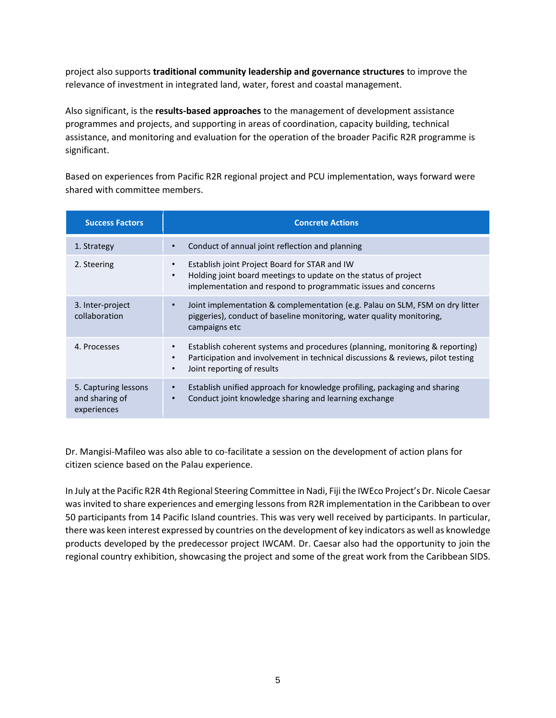project also supports **traditional community leadership and governance structures** to improve the relevance of investment in integrated land, water, forest and coastal management.

Also significant, is the **results-based approaches** to the management of development assistance programmes and projects, and supporting in areas of coordination, capacity building, technical assistance, and monitoring and evaluation for the operation of the broader Pacific R2R programme is significant.

Based on experiences from Pacific R2R regional project and PCU implementation, ways forward were shared with committee members.

| <b>Success Factors</b>                                | <b>Concrete Actions</b>                                                                                                                                                                                 |
|-------------------------------------------------------|---------------------------------------------------------------------------------------------------------------------------------------------------------------------------------------------------------|
| 1. Strategy                                           | Conduct of annual joint reflection and planning                                                                                                                                                         |
| 2. Steering                                           | Establish joint Project Board for STAR and IW<br>Holding joint board meetings to update on the status of project<br>٠<br>implementation and respond to programmatic issues and concerns                 |
| 3. Inter-project<br>collaboration                     | Joint implementation & complementation (e.g. Palau on SLM, FSM on dry litter<br>٠<br>piggeries), conduct of baseline monitoring, water quality monitoring,<br>campaigns etc                             |
| 4. Processes                                          | Establish coherent systems and procedures (planning, monitoring & reporting)<br>Participation and involvement in technical discussions & reviews, pilot testing<br>٠<br>Joint reporting of results<br>٠ |
| 5. Capturing lessons<br>and sharing of<br>experiences | Establish unified approach for knowledge profiling, packaging and sharing<br>٠<br>Conduct joint knowledge sharing and learning exchange<br>$\bullet$                                                    |

Dr. Mangisi-Mafileo was also able to co-facilitate a session on the development of action plans for citizen science based on the Palau experience.

In July at the Pacific R2R 4th Regional Steering Committee in Nadi, Fiji the IWEco Project's Dr. Nicole Caesar was invited to share experiences and emerging lessons from R2R implementation in the Caribbean to over 50 participants from 14 Pacific Island countries. This was very well received by participants. In particular, there was keen interest expressed by countries on the development of key indicators as well as knowledge products developed by the predecessor project IWCAM. Dr. Caesar also had the opportunity to join the regional country exhibition, showcasing the project and some of the great work from the Caribbean SIDS.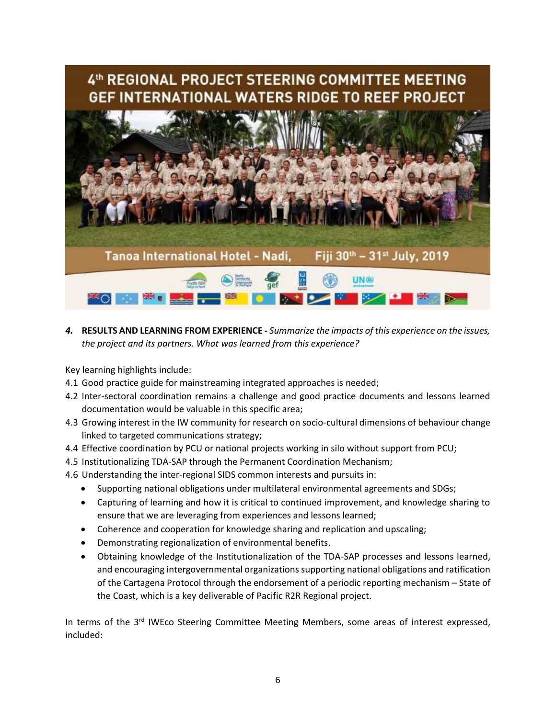

*4.* **RESULTS AND LEARNING FROM EXPERIENCE** *- Summarize the impacts of this experience on the issues, the project and its partners. What was learned from this experience?*

Key learning highlights include:

- 4.1 Good practice guide for mainstreaming integrated approaches is needed;
- 4.2 Inter-sectoral coordination remains a challenge and good practice documents and lessons learned documentation would be valuable in this specific area;
- 4.3 Growing interest in the IW community for research on socio-cultural dimensions of behaviour change linked to targeted communications strategy;
- 4.4 Effective coordination by PCU or national projects working in silo without support from PCU;
- 4.5 Institutionalizing TDA-SAP through the Permanent Coordination Mechanism;
- 4.6 Understanding the inter-regional SIDS common interests and pursuits in:
	- Supporting national obligations under multilateral environmental agreements and SDGs;
	- Capturing of learning and how it is critical to continued improvement, and knowledge sharing to ensure that we are leveraging from experiences and lessons learned;
	- Coherence and cooperation for knowledge sharing and replication and upscaling;
	- Demonstrating regionalization of environmental benefits.
	- Obtaining knowledge of the Institutionalization of the TDA-SAP processes and lessons learned, and encouraging intergovernmental organizations supporting national obligations and ratification of the Cartagena Protocol through the endorsement of a periodic reporting mechanism – State of the Coast, which is a key deliverable of Pacific R2R Regional project.

In terms of the 3<sup>rd</sup> IWEco Steering Committee Meeting Members, some areas of interest expressed, included: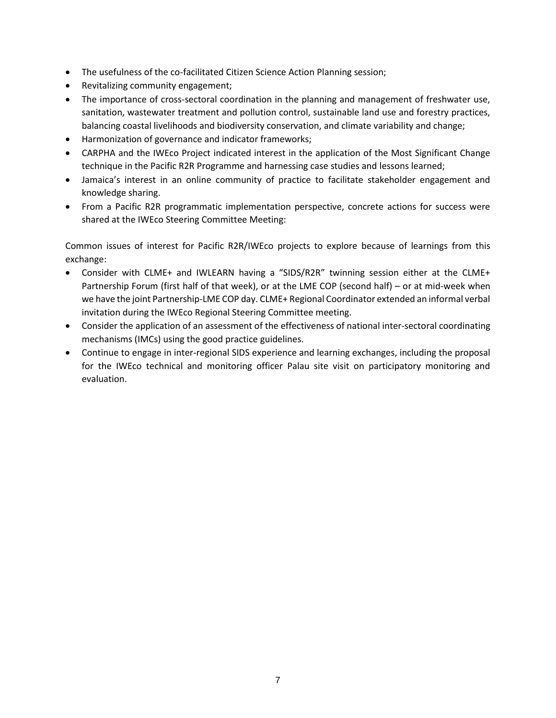- The usefulness of the co-facilitated Citizen Science Action Planning session;
- Revitalizing community engagement;
- The importance of cross-sectoral coordination in the planning and management of freshwater use, sanitation, wastewater treatment and pollution control, sustainable land use and forestry practices, balancing coastal livelihoods and biodiversity conservation, and climate variability and change;
- Harmonization of governance and indicator frameworks;
- CARPHA and the IWEco Project indicated interest in the application of the Most Significant Change technique in the Pacific R2R Programme and harnessing case studies and lessons learned;
- Jamaica's interest in an online community of practice to facilitate stakeholder engagement and knowledge sharing.
- From a Pacific R2R programmatic implementation perspective, concrete actions for success were shared at the IWEco Steering Committee Meeting:

Common issues of interest for Pacific R2R/IWEco projects to explore because of learnings from this exchange:

- Consider with CLME+ and IWLEARN having a "SIDS/R2R" twinning session either at the CLME+ Partnership Forum (first half of that week), or at the LME COP (second half) – or at mid-week when we have the joint Partnership-LME COP day. CLME+ Regional Coordinator extended an informal verbal invitation during the IWEco Regional Steering Committee meeting.
- Consider the application of an assessment of the effectiveness of national inter-sectoral coordinating mechanisms (IMCs) using the good practice guidelines.
- Continue to engage in inter-regional SIDS experience and learning exchanges, including the proposal for the IWEco technical and monitoring officer Palau site visit on participatory monitoring and evaluation.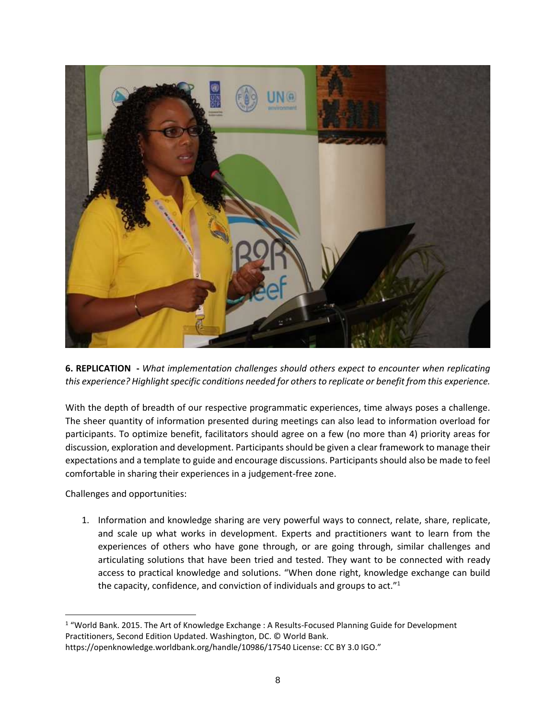

**6. REPLICATION -** *What implementation challenges should others expect to encounter when replicating this experience? Highlight specific conditions needed for others to replicate or benefit from this experience.*

With the depth of breadth of our respective programmatic experiences, time always poses a challenge. The sheer quantity of information presented during meetings can also lead to information overload for participants. To optimize benefit, facilitators should agree on a few (no more than 4) priority areas for discussion, exploration and development. Participants should be given a clear framework to manage their expectations and a template to guide and encourage discussions. Participants should also be made to feel comfortable in sharing their experiences in a judgement-free zone.

Challenges and opportunities:

 $\overline{a}$ 

1. Information and knowledge sharing are very powerful ways to connect, relate, share, replicate, and scale up what works in development. Experts and practitioners want to learn from the experiences of others who have gone through, or are going through, similar challenges and articulating solutions that have been tried and tested. They want to be connected with ready access to practical knowledge and solutions. "When done right, knowledge exchange can build the capacity, confidence, and conviction of individuals and groups to act."<sup>1</sup>

<sup>1</sup> "World Bank. 2015. The Art of Knowledge Exchange : A Results-Focused Planning Guide for Development Practitioners, Second Edition Updated. Washington, DC. © World Bank.

https://openknowledge.worldbank.org/handle/10986/17540 License: CC BY 3.0 IGO."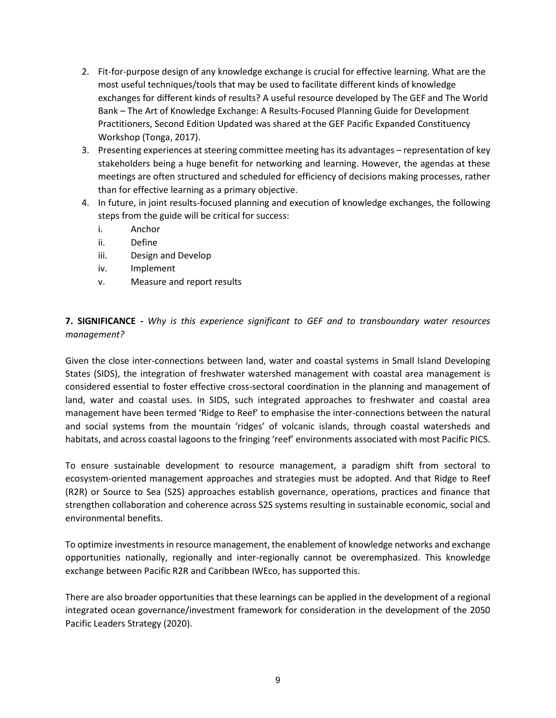- 2. Fit-for-purpose design of any knowledge exchange is crucial for effective learning. What are the most useful techniques/tools that may be used to facilitate different kinds of knowledge exchanges for different kinds of results? A useful resource developed by The GEF and The World Bank – The Art of Knowledge Exchange: A Results-Focused Planning Guide for Development Practitioners, Second Edition Updated was shared at the GEF Pacific Expanded Constituency Workshop (Tonga, 2017).
- 3. Presenting experiences at steering committee meeting has its advantages representation of key stakeholders being a huge benefit for networking and learning. However, the agendas at these meetings are often structured and scheduled for efficiency of decisions making processes, rather than for effective learning as a primary objective.
- 4. In future, in joint results-focused planning and execution of knowledge exchanges, the following steps from the guide will be critical for success:
	- i. Anchor
	- ii. Define
	- iii. Design and Develop
	- iv. Implement
	- v. Measure and report results

**7. SIGNIFICANCE -** *Why is this experience significant to GEF and to transboundary water resources management?*

Given the close inter-connections between land, water and coastal systems in Small Island Developing States (SIDS), the integration of freshwater watershed management with coastal area management is considered essential to foster effective cross-sectoral coordination in the planning and management of land, water and coastal uses. In SIDS, such integrated approaches to freshwater and coastal area management have been termed 'Ridge to Reef' to emphasise the inter-connections between the natural and social systems from the mountain 'ridges' of volcanic islands, through coastal watersheds and habitats, and across coastal lagoons to the fringing 'reef' environments associated with most Pacific PICS.

To ensure sustainable development to resource management, a paradigm shift from sectoral to ecosystem-oriented management approaches and strategies must be adopted. And that Ridge to Reef (R2R) or Source to Sea (S2S) approaches establish governance, operations, practices and finance that strengthen collaboration and coherence across S2S systems resulting in sustainable economic, social and environmental benefits.

To optimize investments in resource management, the enablement of knowledge networks and exchange opportunities nationally, regionally and inter-regionally cannot be overemphasized. This knowledge exchange between Pacific R2R and Caribbean IWEco, has supported this.

There are also broader opportunities that these learnings can be applied in the development of a regional integrated ocean governance/investment framework for consideration in the development of the 2050 Pacific Leaders Strategy (2020).